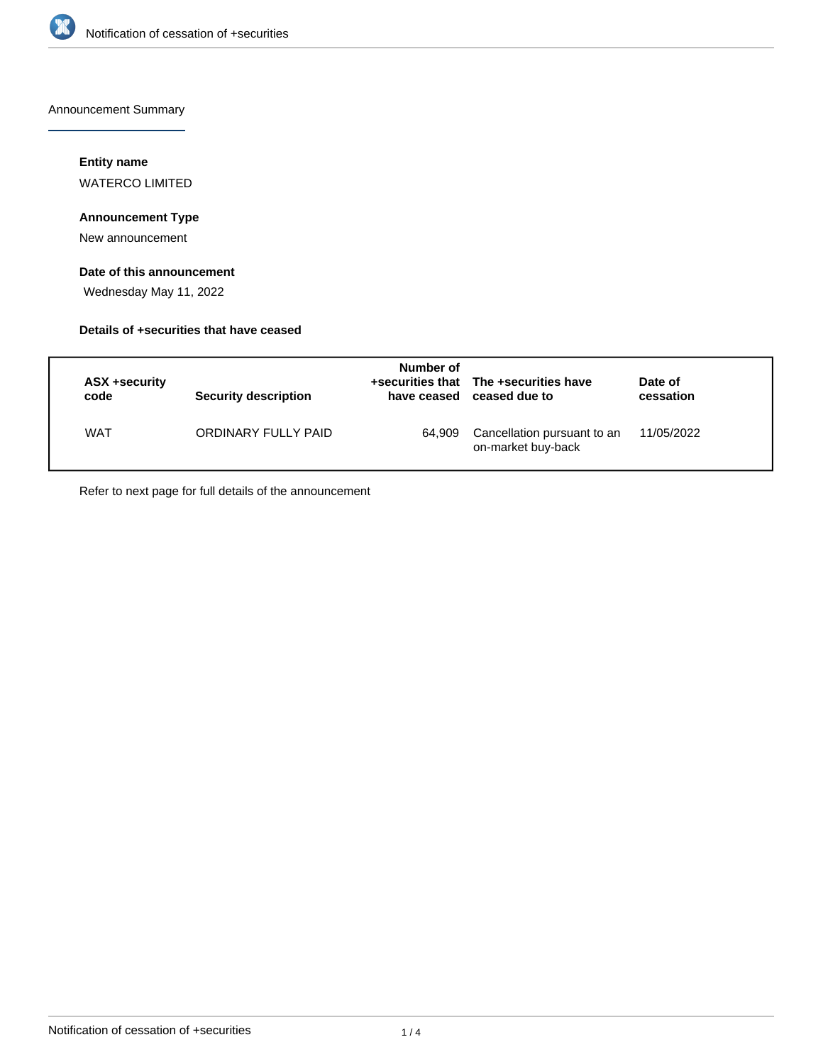

Announcement Summary

#### **Entity name**

WATERCO LIMITED

### **Announcement Type**

New announcement

## **Date of this announcement**

Wednesday May 11, 2022

#### **Details of +securities that have ceased**

| ASX +security<br>code | Security description | Number of<br>have ceased | +securities that The +securities have<br>ceased due to | Date of<br>cessation |
|-----------------------|----------------------|--------------------------|--------------------------------------------------------|----------------------|
| <b>WAT</b>            | ORDINARY FULLY PAID  | 64.909                   | Cancellation pursuant to an<br>on-market buy-back      | 11/05/2022           |

Refer to next page for full details of the announcement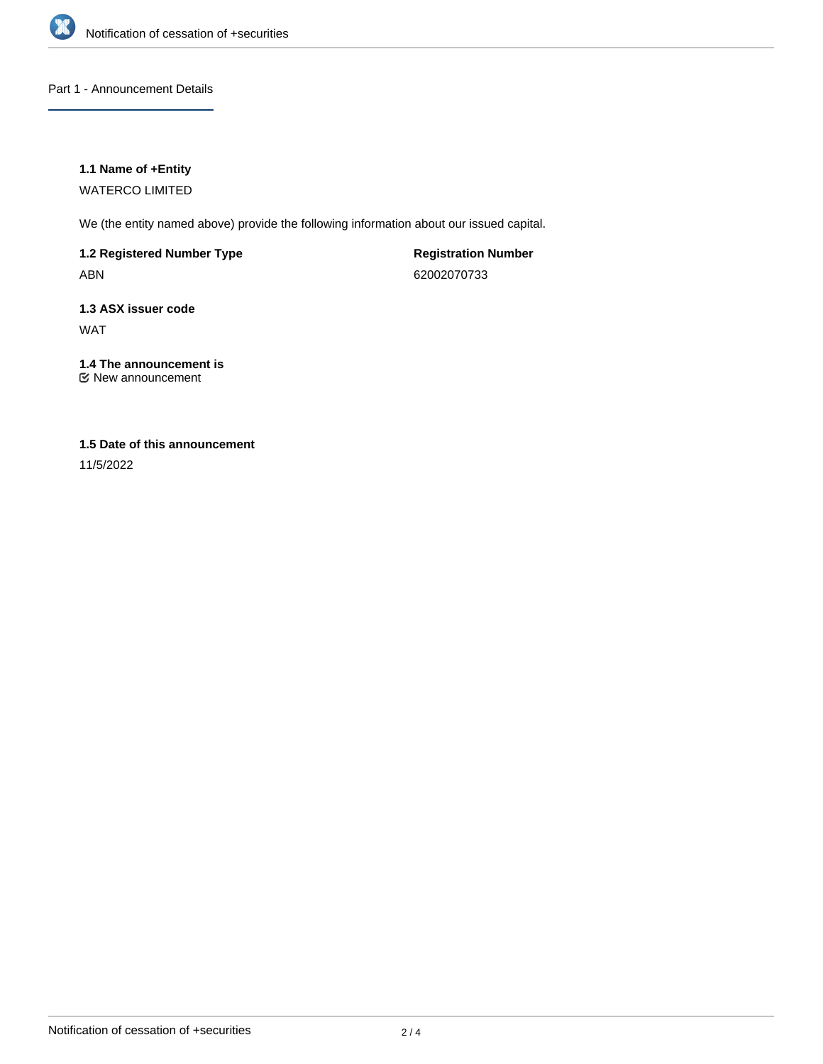

Part 1 - Announcement Details

#### **1.1 Name of +Entity**

WATERCO LIMITED

We (the entity named above) provide the following information about our issued capital.

**1.2 Registered Number Type** ABN

**Registration Number** 62002070733

**1.3 ASX issuer code** WAT

**1.4 The announcement is** New announcement

### **1.5 Date of this announcement**

11/5/2022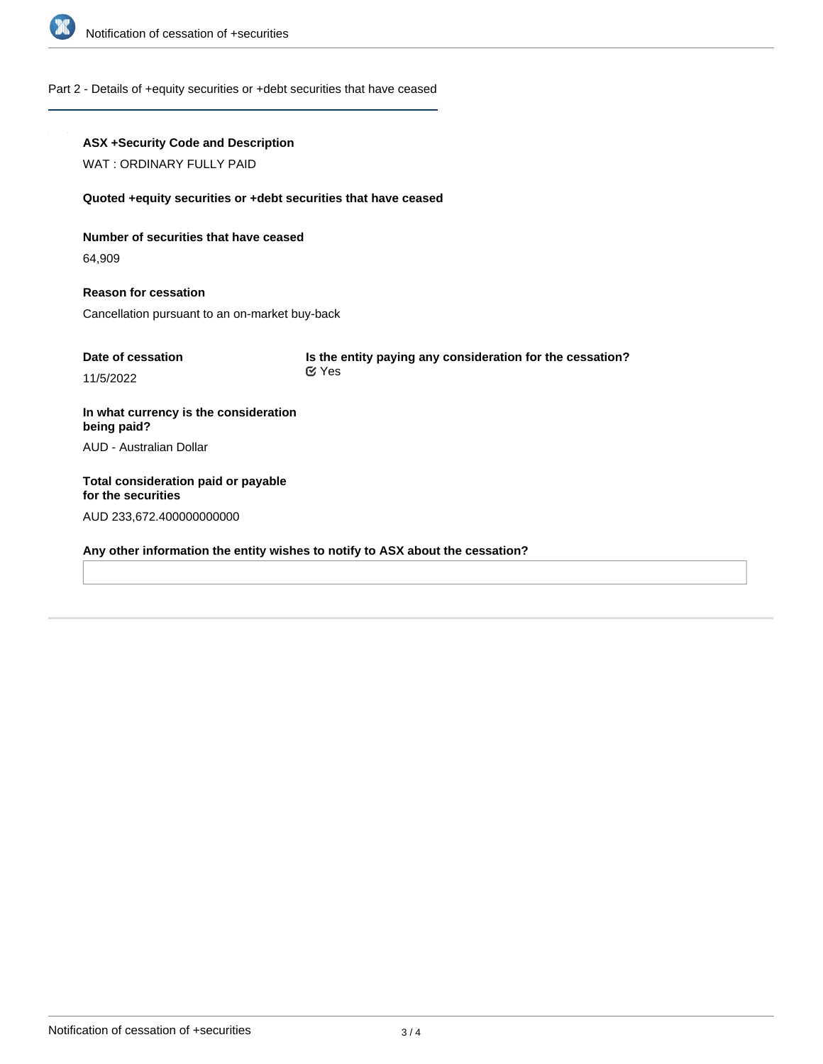

#### Part 2 - Details of +equity securities or +debt securities that have ceased

# **ASX +Security Code and Description** WAT : ORDINARY FULLY PAID **Quoted +equity securities or +debt securities that have ceased Number of securities that have ceased** 64,909 **Reason for cessation** Cancellation pursuant to an on-market buy-back **Date of cessation** 11/5/2022 **Is the entity paying any consideration for the cessation? In what currency is the consideration being paid?** AUD - Australian Dollar **Total consideration paid or payable for the securities** AUD 233,672.400000000000 Yes

**Any other information the entity wishes to notify to ASX about the cessation?**